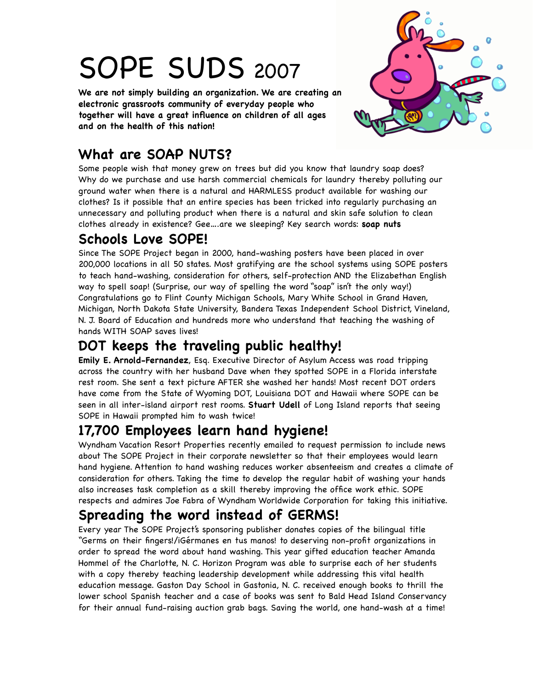# SOPE SUDS <sup>2007</sup>

**We are not simply building an organization. We are creating an electronic grassroots community of everyday people who together will have a great infuence on children of all ages and on the health of this nation!** 



# **What are SOAP NUTS?**

Some people wish that money grew on trees but did you know that laundry soap does? Why do we purchase and use harsh commercial chemicals for laundry thereby polluting our ground water when there is a natural and HARMLESS product available for washing our clothes? Is it possible that an entire species has been tricked into regularly purchasing an unnecessary and polluting product when there is a natural and skin safe solution to clean clothes already in existence? Gee….are we sleeping? Key search words: **soap nuts**

### **Schools Love SOPE!**

Since The SOPE Project began in 2000, hand-washing posters have been placed in over 200,000 locations in all 50 states. Most gratifying are the school systems using SOPE posters to teach hand-washing, consideration for others, self-protection AND the Elizabethan English way to spell soap! (Surprise, our way of spelling the word "soap" isn't the only way!) Congratulations go to Flint County Michigan Schools, Mary White School in Grand Haven, Michigan, North Dakota State University, Bandera Texas Independent School District, Vineland, N. J. Board of Education and hundreds more who understand that teaching the washing of hands WITH SOAP saves lives!

# **DOT keeps the traveling public healthy!**

**Emily E. Arnold-Fernandez**, Esq. Executive Director of Asylum Access was road tripping across the country with her husband Dave when they spotted SOPE in a Florida interstate rest room. She sent a text picture AFTER she washed her hands! Most recent DOT orders have come from the State of Wyoming DOT, Louisiana DOT and Hawaii where SOPE can be seen in all inter-island airport rest rooms. **Stuart Udell** of Long Island reports that seeing SOPE in Hawaii prompted him to wash twice!

## **17,700 Employees learn hand hygiene!**

Wyndham Vacation Resort Properties recently emailed to request permission to include news about The SOPE Project in their corporate newsletter so that their employees would learn hand hygiene. Attention to hand washing reduces worker absenteeism and creates a climate of consideration for others. Taking the time to develop the regular habit of washing your hands also increases task completion as a skill thereby improving the offce work ethic. SOPE respects and admires Joe Fabra of Wyndham Worldwide Corporation for taking this initiative.

# **Spreading the word instead of GERMS!**

Every year The SOPE Project's sponsoring publisher donates copies of the bilingual title "Germs on their fngers!/iGérmanes en tus manos! to deserving non-proft organizations in order to spread the word about hand washing. This year gifted education teacher Amanda Hommel of the Charlotte, N. C. Horizon Program was able to surprise each of her students with a copy thereby teaching leadership development while addressing this vital health education message. Gaston Day School in Gastonia, N. C. received enough books to thrill the lower school Spanish teacher and a case of books was sent to Bald Head Island Conservancy for their annual fund-raising auction grab bags. Saving the world, one hand-wash at a time!